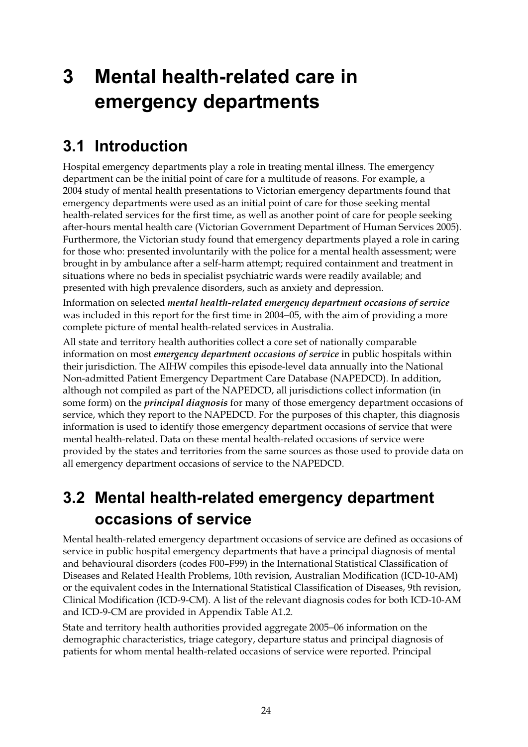# **3 Mental health-related care in emergency departments**

## **3.1 Introduction**

Hospital emergency departments play a role in treating mental illness. The emergency department can be the initial point of care for a multitude of reasons. For example, a 2004 study of mental health presentations to Victorian emergency departments found that emergency departments were used as an initial point of care for those seeking mental health-related services for the first time, as well as another point of care for people seeking after-hours mental health care (Victorian Government Department of Human Services 2005). Furthermore, the Victorian study found that emergency departments played a role in caring for those who: presented involuntarily with the police for a mental health assessment; were brought in by ambulance after a self-harm attempt; required containment and treatment in situations where no beds in specialist psychiatric wards were readily available; and presented with high prevalence disorders, such as anxiety and depression.

Information on selected *mental health-related emergency department occasions of service* was included in this report for the first time in 2004−05, with the aim of providing a more complete picture of mental health-related services in Australia.

All state and territory health authorities collect a core set of nationally comparable information on most *emergency department occasions of service* in public hospitals within their jurisdiction. The AIHW compiles this episode-level data annually into the National Non-admitted Patient Emergency Department Care Database (NAPEDCD). In addition, although not compiled as part of the NAPEDCD, all jurisdictions collect information (in some form) on the *principal diagnosis* for many of those emergency department occasions of service, which they report to the NAPEDCD. For the purposes of this chapter, this diagnosis information is used to identify those emergency department occasions of service that were mental health-related. Data on these mental health-related occasions of service were provided by the states and territories from the same sources as those used to provide data on all emergency department occasions of service to the NAPEDCD.

## **3.2 Mental health-related emergency department occasions of service**

Mental health-related emergency department occasions of service are defined as occasions of service in public hospital emergency departments that have a principal diagnosis of mental and behavioural disorders (codes F00–F99) in the International Statistical Classification of Diseases and Related Health Problems, 10th revision, Australian Modification (ICD-10-AM) or the equivalent codes in the International Statistical Classification of Diseases, 9th revision, Clinical Modification (ICD-9-CM). A list of the relevant diagnosis codes for both ICD-10-AM and ICD-9-CM are provided in Appendix Table A1.2.

State and territory health authorities provided aggregate 2005−06 information on the demographic characteristics, triage category, departure status and principal diagnosis of patients for whom mental health-related occasions of service were reported. Principal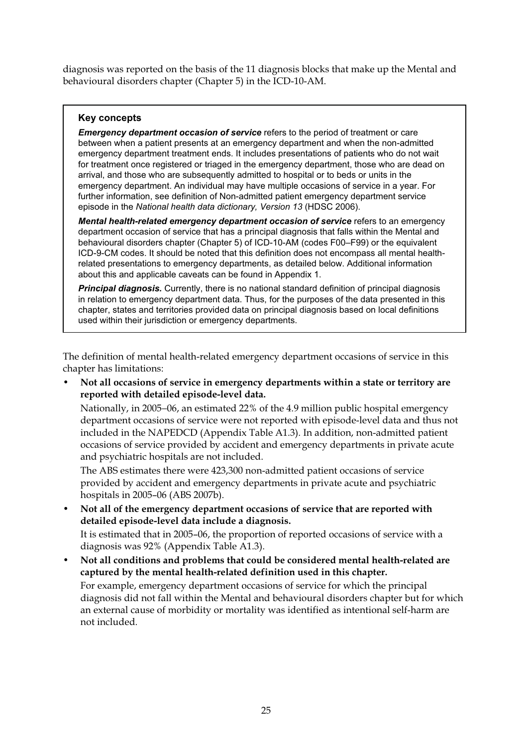diagnosis was reported on the basis of the 11 diagnosis blocks that make up the Mental and behavioural disorders chapter (Chapter 5) in the ICD-10-AM.

#### **Key concepts**

*Emergency department occasion of service* refers to the period of treatment or care between when a patient presents at an emergency department and when the non-admitted emergency department treatment ends. It includes presentations of patients who do not wait for treatment once registered or triaged in the emergency department, those who are dead on arrival, and those who are subsequently admitted to hospital or to beds or units in the emergency department. An individual may have multiple occasions of service in a year. For further information, see definition of Non-admitted patient emergency department service episode in the *National health data dictionary, Version 13* (HDSC 2006).

*Mental health-related emergency department occasion of service* refers to an emergency department occasion of service that has a principal diagnosis that falls within the Mental and behavioural disorders chapter (Chapter 5) of ICD-10-AM (codes F00–F99) or the equivalent ICD-9-CM codes. It should be noted that this definition does not encompass all mental healthrelated presentations to emergency departments, as detailed below. Additional information about this and applicable caveats can be found in Appendix 1.

*Principal diagnosis.* Currently, there is no national standard definition of principal diagnosis in relation to emergency department data. Thus, for the purposes of the data presented in this chapter, states and territories provided data on principal diagnosis based on local definitions used within their jurisdiction or emergency departments.

The definition of mental health-related emergency department occasions of service in this chapter has limitations:

• **Not all occasions of service in emergency departments within a state or territory are reported with detailed episode-level data.** 

Nationally, in 2005−06, an estimated 22% of the 4.9 million public hospital emergency department occasions of service were not reported with episode-level data and thus not included in the NAPEDCD (Appendix Table A1.3). In addition, non-admitted patient occasions of service provided by accident and emergency departments in private acute and psychiatric hospitals are not included.

The ABS estimates there were 423,300 non-admitted patient occasions of service provided by accident and emergency departments in private acute and psychiatric hospitals in 2005–06 (ABS 2007b).

• **Not all of the emergency department occasions of service that are reported with detailed episode-level data include a diagnosis.** 

It is estimated that in 2005–06, the proportion of reported occasions of service with a diagnosis was 92% (Appendix Table A1.3).

• **Not all conditions and problems that could be considered mental health-related are captured by the mental health-related definition used in this chapter.**  For example, emergency department occasions of service for which the principal

diagnosis did not fall within the Mental and behavioural disorders chapter but for which an external cause of morbidity or mortality was identified as intentional self-harm are not included.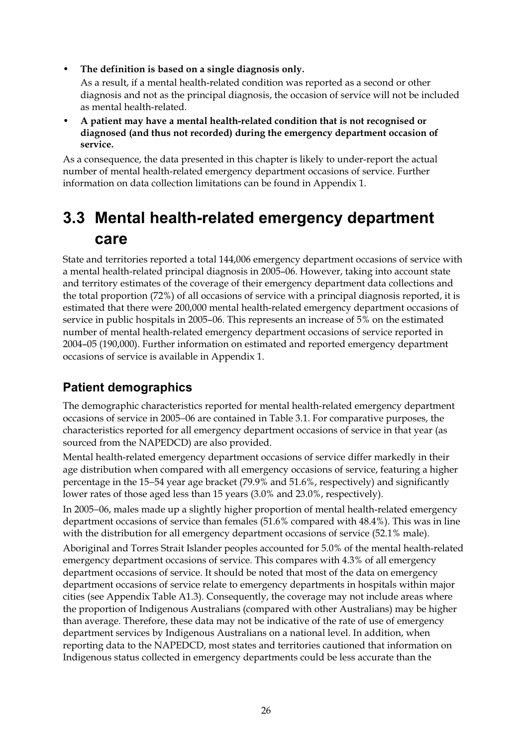• **The definition is based on a single diagnosis only.** 

As a result, if a mental health-related condition was reported as a second or other diagnosis and not as the principal diagnosis, the occasion of service will not be included as mental health-related.

• **A patient may have a mental health-related condition that is not recognised or diagnosed (and thus not recorded) during the emergency department occasion of service.** 

As a consequence, the data presented in this chapter is likely to under-report the actual number of mental health-related emergency department occasions of service. Further information on data collection limitations can be found in Appendix 1.

## **3.3 Mental health-related emergency department care**

State and territories reported a total 144,006 emergency department occasions of service with a mental health-related principal diagnosis in 2005–06. However, taking into account state and territory estimates of the coverage of their emergency department data collections and the total proportion (72%) of all occasions of service with a principal diagnosis reported, it is estimated that there were 200,000 mental health-related emergency department occasions of service in public hospitals in 2005–06. This represents an increase of 5% on the estimated number of mental health-related emergency department occasions of service reported in 2004–05 (190,000). Further information on estimated and reported emergency department occasions of service is available in Appendix 1.

### **Patient demographics**

The demographic characteristics reported for mental health-related emergency department occasions of service in 2005−06 are contained in Table 3.1. For comparative purposes, the characteristics reported for all emergency department occasions of service in that year (as sourced from the NAPEDCD) are also provided.

Mental health-related emergency department occasions of service differ markedly in their age distribution when compared with all emergency occasions of service, featuring a higher percentage in the 15−54 year age bracket (79.9% and 51.6%, respectively) and significantly lower rates of those aged less than 15 years (3.0% and 23.0%, respectively).

In 2005−06, males made up a slightly higher proportion of mental health-related emergency department occasions of service than females (51.6% compared with 48.4%). This was in line with the distribution for all emergency department occasions of service (52.1% male).

Aboriginal and Torres Strait Islander peoples accounted for 5.0% of the mental health-related emergency department occasions of service. This compares with 4.3% of all emergency department occasions of service. It should be noted that most of the data on emergency department occasions of service relate to emergency departments in hospitals within major cities (see Appendix Table A1.3). Consequently, the coverage may not include areas where the proportion of Indigenous Australians (compared with other Australians) may be higher than average. Therefore, these data may not be indicative of the rate of use of emergency department services by Indigenous Australians on a national level. In addition, when reporting data to the NAPEDCD, most states and territories cautioned that information on Indigenous status collected in emergency departments could be less accurate than the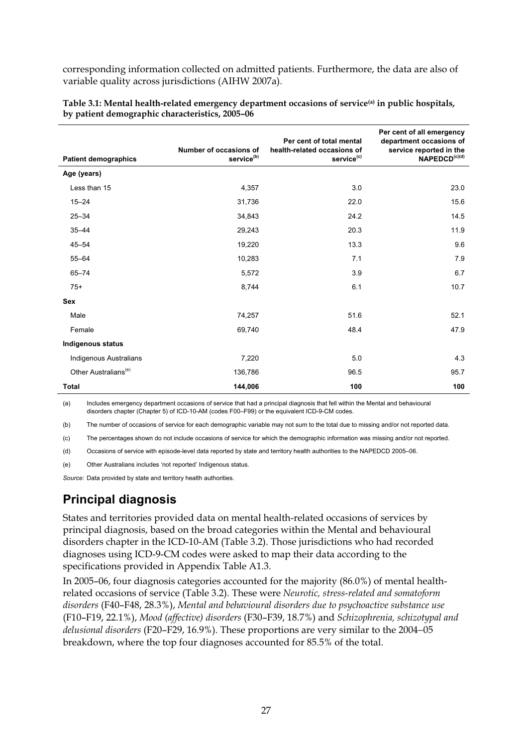corresponding information collected on admitted patients. Furthermore, the data are also of variable quality across jurisdictions (AIHW 2007a).

| <b>Patient demographics</b>      | Number of occasions of<br>service <sup>(b)</sup> | Per cent of total mental<br>health-related occasions of<br>service <sup>(c)</sup> | Per cent of all emergency<br>department occasions of<br>service reported in the<br>NAPEDCD <sup>(c)(d)</sup> |
|----------------------------------|--------------------------------------------------|-----------------------------------------------------------------------------------|--------------------------------------------------------------------------------------------------------------|
| Age (years)                      |                                                  |                                                                                   |                                                                                                              |
| Less than 15                     | 4,357                                            | 3.0                                                                               | 23.0                                                                                                         |
| $15 - 24$                        | 31,736                                           | 22.0                                                                              | 15.6                                                                                                         |
| $25 - 34$                        | 34,843                                           | 24.2                                                                              | 14.5                                                                                                         |
| $35 - 44$                        | 29,243                                           | 20.3                                                                              | 11.9                                                                                                         |
| $45 - 54$                        | 19,220                                           | 13.3                                                                              | 9.6                                                                                                          |
| $55 - 64$                        | 10,283                                           | 7.1                                                                               | 7.9                                                                                                          |
| $65 - 74$                        | 5,572                                            | 3.9                                                                               | 6.7                                                                                                          |
| $75+$                            | 8,744                                            | 6.1                                                                               | 10.7                                                                                                         |
| Sex                              |                                                  |                                                                                   |                                                                                                              |
| Male                             | 74,257                                           | 51.6                                                                              | 52.1                                                                                                         |
| Female                           | 69,740                                           | 48.4                                                                              | 47.9                                                                                                         |
| <b>Indigenous status</b>         |                                                  |                                                                                   |                                                                                                              |
| Indigenous Australians           | 7,220                                            | 5.0                                                                               | 4.3                                                                                                          |
| Other Australians <sup>(e)</sup> | 136,786                                          | 96.5                                                                              | 95.7                                                                                                         |
| <b>Total</b>                     | 144,006                                          | 100                                                                               | 100                                                                                                          |

**Table 3.1: Mental health-related emergency department occasions of service(a) in public hospitals, by patient demographic characteristics, 2005–06** 

(a) Includes emergency department occasions of service that had a principal diagnosis that fell within the Mental and behavioural disorders chapter (Chapter 5) of ICD-10-AM (codes F00–F99) or the equivalent ICD-9-CM codes.

(b) The number of occasions of service for each demographic variable may not sum to the total due to missing and/or not reported data.

(c) The percentages shown do not include occasions of service for which the demographic information was missing and/or not reported.

(d) Occasions of service with episode-level data reported by state and territory health authorities to the NAPEDCD 2005–06.

(e) Other Australians includes 'not reported' Indigenous status.

*Source:* Data provided by state and territory health authorities.

### **Principal diagnosis**

States and territories provided data on mental health-related occasions of services by principal diagnosis, based on the broad categories within the Mental and behavioural disorders chapter in the ICD-10-AM (Table 3.2). Those jurisdictions who had recorded diagnoses using ICD-9-CM codes were asked to map their data according to the specifications provided in Appendix Table A1.3.

In 2005–06, four diagnosis categories accounted for the majority (86.0%) of mental healthrelated occasions of service (Table 3.2). These were *Neurotic, stress-related and somatoform disorders* (F40–F48, 28.3%), *Mental and behavioural disorders due to psychoactive substance use* (F10–F19, 22.1%), *Mood (affective) disorders* (F30–F39, 18.7%) and *Schizophrenia, schizotypal and delusional disorders* (F20–F29, 16.9%). These proportions are very similar to the 2004−05 breakdown, where the top four diagnoses accounted for 85.5% of the total.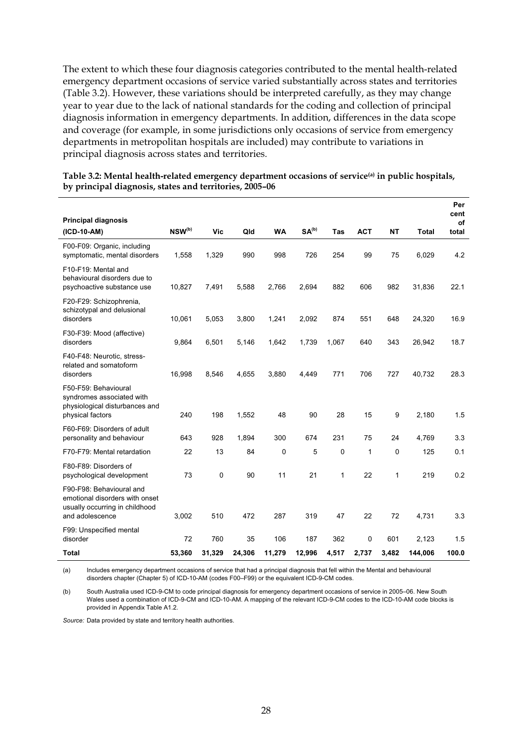The extent to which these four diagnosis categories contributed to the mental health-related emergency department occasions of service varied substantially across states and territories (Table 3.2). However, these variations should be interpreted carefully, as they may change year to year due to the lack of national standards for the coding and collection of principal diagnosis information in emergency departments. In addition, differences in the data scope and coverage (for example, in some jurisdictions only occasions of service from emergency departments in metropolitan hospitals are included) may contribute to variations in principal diagnosis across states and territories.

|                                                                                                                 |             |        |        |           |                   |       |            |              |              | Per<br>cent |
|-----------------------------------------------------------------------------------------------------------------|-------------|--------|--------|-----------|-------------------|-------|------------|--------------|--------------|-------------|
| <b>Principal diagnosis</b>                                                                                      |             |        |        |           |                   |       |            |              |              | of          |
| (ICD-10-AM)                                                                                                     | $NSW^{(b)}$ | Vic    | Qld    | <b>WA</b> | SA <sup>(b)</sup> | Tas   | <b>ACT</b> | <b>NT</b>    | <b>Total</b> | total       |
| F00-F09: Organic, including<br>symptomatic, mental disorders                                                    | 1,558       | 1,329  | 990    | 998       | 726               | 254   | 99         | 75           | 6,029        | 4.2         |
| F10-F19: Mental and<br>behavioural disorders due to<br>psychoactive substance use                               | 10,827      | 7,491  | 5,588  | 2,766     | 2,694             | 882   | 606        | 982          | 31,836       | 22.1        |
| F20-F29: Schizophrenia,<br>schizotypal and delusional<br>disorders                                              | 10,061      | 5,053  | 3,800  | 1,241     | 2,092             | 874   | 551        | 648          | 24,320       | 16.9        |
| F30-F39: Mood (affective)<br>disorders                                                                          | 9,864       | 6,501  | 5,146  | 1,642     | 1,739             | 1,067 | 640        | 343          | 26,942       | 18.7        |
| F40-F48: Neurotic, stress-<br>related and somatoform<br>disorders                                               | 16,998      | 8,546  | 4,655  | 3,880     | 4,449             | 771   | 706        | 727          | 40,732       | 28.3        |
| F50-F59: Behavioural<br>syndromes associated with<br>physiological disturbances and<br>physical factors         | 240         | 198    | 1,552  | 48        | 90                | 28    | 15         | 9            | 2,180        | 1.5         |
| F60-F69: Disorders of adult<br>personality and behaviour                                                        | 643         | 928    | 1,894  | 300       | 674               | 231   | 75         | 24           | 4,769        | 3.3         |
| F70-F79: Mental retardation                                                                                     | 22          | 13     | 84     | 0         | 5                 | 0     | 1          | $\mathbf{0}$ | 125          | 0.1         |
| F80-F89: Disorders of<br>psychological development                                                              | 73          | 0      | 90     | 11        | 21                | 1     | 22         | $\mathbf{1}$ | 219          | 0.2         |
| F90-F98: Behavioural and<br>emotional disorders with onset<br>usually occurring in childhood<br>and adolescence | 3,002       | 510    | 472    | 287       | 319               | 47    | 22         | 72           | 4,731        | 3.3         |
| F99: Unspecified mental<br>disorder                                                                             | 72          | 760    | 35     | 106       | 187               | 362   | $\Omega$   | 601          | 2,123        | 1.5         |
| Total                                                                                                           | 53,360      | 31,329 | 24,306 | 11,279    | 12,996            | 4,517 | 2,737      | 3,482        | 144.006      | 100.0       |

Table 3.2: Mental health-related emergency department occasions of service<sup>(a)</sup> in public hospitals, **by principal diagnosis, states and territories, 2005–06** 

(a) Includes emergency department occasions of service that had a principal diagnosis that fell within the Mental and behavioural disorders chapter (Chapter 5) of ICD-10-AM (codes F00–F99) or the equivalent ICD-9-CM codes.

(b) South Australia used ICD-9-CM to code principal diagnosis for emergency department occasions of service in 2005–06. New South Wales used a combination of ICD-9-CM and ICD-10-AM. A mapping of the relevant ICD-9-CM codes to the ICD-10-AM code blocks is provided in Appendix Table A1.2.

*Source:* Data provided by state and territory health authorities.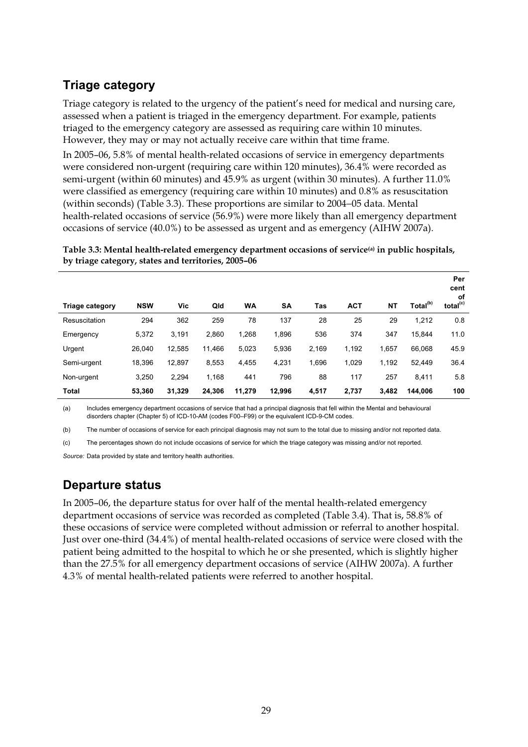### **Triage category**

Triage category is related to the urgency of the patient's need for medical and nursing care, assessed when a patient is triaged in the emergency department. For example, patients triaged to the emergency category are assessed as requiring care within 10 minutes. However, they may or may not actually receive care within that time frame.

In 2005–06, 5.8% of mental health-related occasions of service in emergency departments were considered non-urgent (requiring care within 120 minutes), 36.4% were recorded as semi-urgent (within 60 minutes) and 45.9% as urgent (within 30 minutes). A further 11.0% were classified as emergency (requiring care within 10 minutes) and 0.8% as resuscitation (within seconds) (Table 3.3). These proportions are similar to 2004−05 data. Mental health-related occasions of service (56.9%) were more likely than all emergency department occasions of service (40.0%) to be assessed as urgent and as emergency (AIHW 2007a).

**Table 3.3: Mental health-related emergency department occasions of service(a) in public hospitals, by triage category, states and territories, 2005–06** 

| <b>Triage category</b> | <b>NSW</b> | Vic    | Qld    | WA     | SA     | Tas   | <b>ACT</b> | <b>NT</b> | Total <sup>(b)</sup> | Per<br>cent<br>оf<br>total <sup>(c)</sup> |
|------------------------|------------|--------|--------|--------|--------|-------|------------|-----------|----------------------|-------------------------------------------|
| Resuscitation          | 294        | 362    | 259    | 78     | 137    | 28    | 25         | 29        | 1,212                | 0.8                                       |
| Emergency              | 5,372      | 3,191  | 2,860  | 1,268  | 1,896  | 536   | 374        | 347       | 15,844               | 11.0                                      |
| Urgent                 | 26.040     | 12.585 | 11.466 | 5,023  | 5,936  | 2,169 | 1,192      | 1,657     | 66,068               | 45.9                                      |
| Semi-urgent            | 18,396     | 12.897 | 8,553  | 4,455  | 4,231  | 1,696 | 1,029      | 1,192     | 52.449               | 36.4                                      |
| Non-urgent             | 3,250      | 2.294  | 1.168  | 441    | 796    | 88    | 117        | 257       | 8.411                | 5.8                                       |
| Total                  | 53.360     | 31.329 | 24,306 | 11,279 | 12,996 | 4,517 | 2,737      | 3,482     | 144.006              | 100                                       |

(a) Includes emergency department occasions of service that had a principal diagnosis that fell within the Mental and behavioural disorders chapter (Chapter 5) of ICD-10-AM (codes F00–F99) or the equivalent ICD-9-CM codes.

(b) The number of occasions of service for each principal diagnosis may not sum to the total due to missing and/or not reported data.

(c) The percentages shown do not include occasions of service for which the triage category was missing and/or not reported.

*Source:* Data provided by state and territory health authorities.

### **Departure status**

In 2005–06, the departure status for over half of the mental health-related emergency department occasions of service was recorded as completed (Table 3.4). That is, 58.8% of these occasions of service were completed without admission or referral to another hospital. Just over one-third (34.4%) of mental health-related occasions of service were closed with the patient being admitted to the hospital to which he or she presented, which is slightly higher than the 27.5% for all emergency department occasions of service (AIHW 2007a). A further 4.3% of mental health-related patients were referred to another hospital.